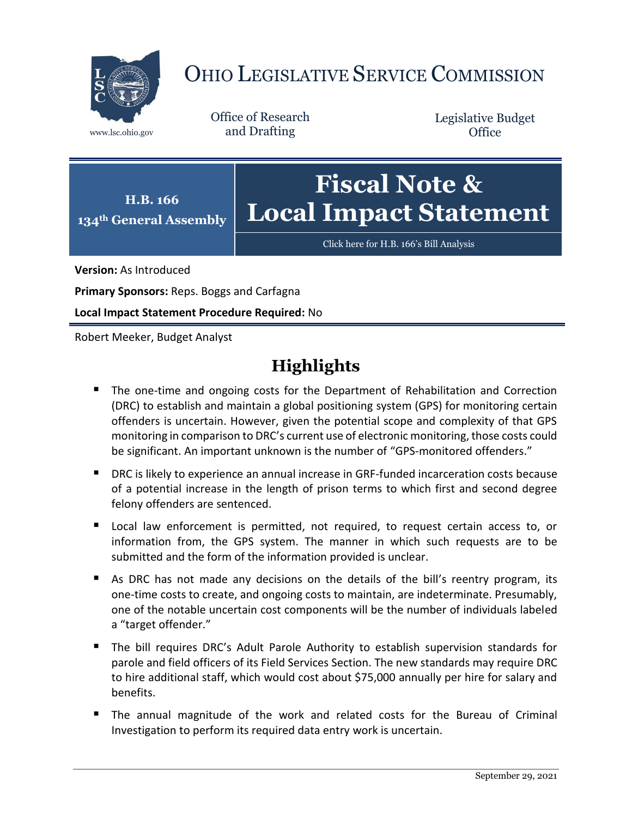

# OHIO LEGISLATIVE SERVICE COMMISSION

Office of Research www.lsc.ohio.gov and Drafting

Legislative Budget **Office** 



[Click here for H.B. 166](https://www.legislature.ohio.gov/legislation/legislation-documents?id=GA134-HB-166)'s Bill Analysis

**Version:** As Introduced

**Primary Sponsors:** Reps. Boggs and Carfagna

**Local Impact Statement Procedure Required:** No

Robert Meeker, Budget Analyst

## **Highlights**

- **The one-time and ongoing costs for the Department of Rehabilitation and Correction** (DRC) to establish and maintain a global positioning system (GPS) for monitoring certain offenders is uncertain. However, given the potential scope and complexity of that GPS monitoring in comparison to DRC's current use of electronic monitoring, those costs could be significant. An important unknown is the number of "GPS-monitored offenders."
- **DRC** is likely to experience an annual increase in GRF-funded incarceration costs because of a potential increase in the length of prison terms to which first and second degree felony offenders are sentenced.
- Local law enforcement is permitted, not required, to request certain access to, or information from, the GPS system. The manner in which such requests are to be submitted and the form of the information provided is unclear.
- As DRC has not made any decisions on the details of the bill's reentry program, its one-time costs to create, and ongoing costs to maintain, are indeterminate. Presumably, one of the notable uncertain cost components will be the number of individuals labeled a "target offender."
- The bill requires DRC's Adult Parole Authority to establish supervision standards for parole and field officers of its Field Services Section. The new standards may require DRC to hire additional staff, which would cost about \$75,000 annually per hire for salary and benefits.
- The annual magnitude of the work and related costs for the Bureau of Criminal Investigation to perform its required data entry work is uncertain.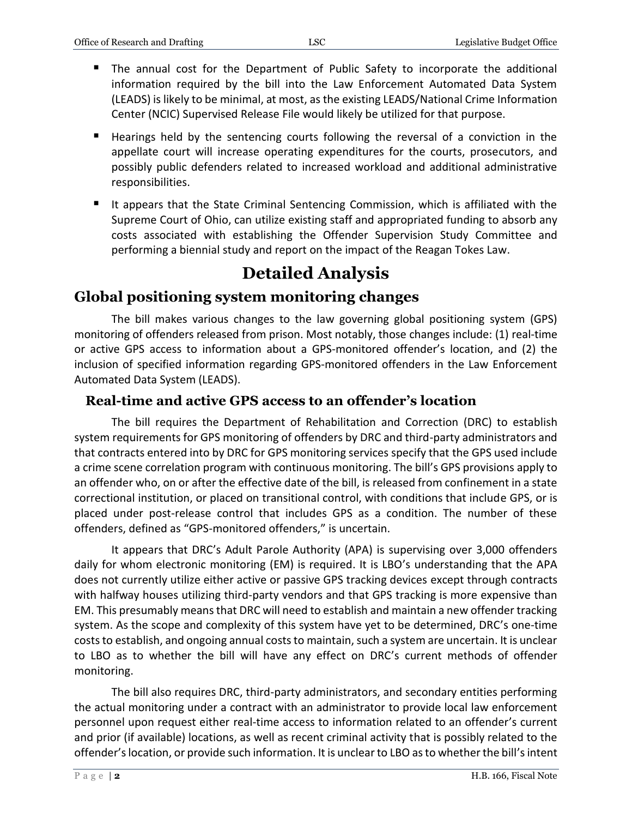- The annual cost for the Department of Public Safety to incorporate the additional information required by the bill into the Law Enforcement Automated Data System (LEADS) is likely to be minimal, at most, as the existing LEADS/National Crime Information Center (NCIC) Supervised Release File would likely be utilized for that purpose.
- Hearings held by the sentencing courts following the reversal of a conviction in the appellate court will increase operating expenditures for the courts, prosecutors, and possibly public defenders related to increased workload and additional administrative responsibilities.
- It appears that the State Criminal Sentencing Commission, which is affiliated with the Supreme Court of Ohio, can utilize existing staff and appropriated funding to absorb any costs associated with establishing the Offender Supervision Study Committee and performing a biennial study and report on the impact of the Reagan Tokes Law.

## **Detailed Analysis**

## **Global positioning system monitoring changes**

The bill makes various changes to the law governing global positioning system (GPS) monitoring of offenders released from prison. Most notably, those changes include: (1) real-time or active GPS access to information about a GPS-monitored offender's location, and (2) the inclusion of specified information regarding GPS-monitored offenders in the Law Enforcement Automated Data System (LEADS).

#### **Real-time and active GPS access to an offender's location**

The bill requires the Department of Rehabilitation and Correction (DRC) to establish system requirements for GPS monitoring of offenders by DRC and third-party administrators and that contracts entered into by DRC for GPS monitoring services specify that the GPS used include a crime scene correlation program with continuous monitoring. The bill's GPS provisions apply to an offender who, on or after the effective date of the bill, is released from confinement in a state correctional institution, or placed on transitional control, with conditions that include GPS, or is placed under post-release control that includes GPS as a condition. The number of these offenders, defined as "GPS-monitored offenders," is uncertain.

It appears that DRC's Adult Parole Authority (APA) is supervising over 3,000 offenders daily for whom electronic monitoring (EM) is required. It is LBO's understanding that the APA does not currently utilize either active or passive GPS tracking devices except through contracts with halfway houses utilizing third-party vendors and that GPS tracking is more expensive than EM. This presumably means that DRC will need to establish and maintain a new offender tracking system. As the scope and complexity of this system have yet to be determined, DRC's one-time costs to establish, and ongoing annual costs to maintain, such a system are uncertain. It is unclear to LBO as to whether the bill will have any effect on DRC's current methods of offender monitoring.

The bill also requires DRC, third-party administrators, and secondary entities performing the actual monitoring under a contract with an administrator to provide local law enforcement personnel upon request either real-time access to information related to an offender's current and prior (if available) locations, as well as recent criminal activity that is possibly related to the offender's location, or provide such information. It is unclear to LBO as to whether the bill's intent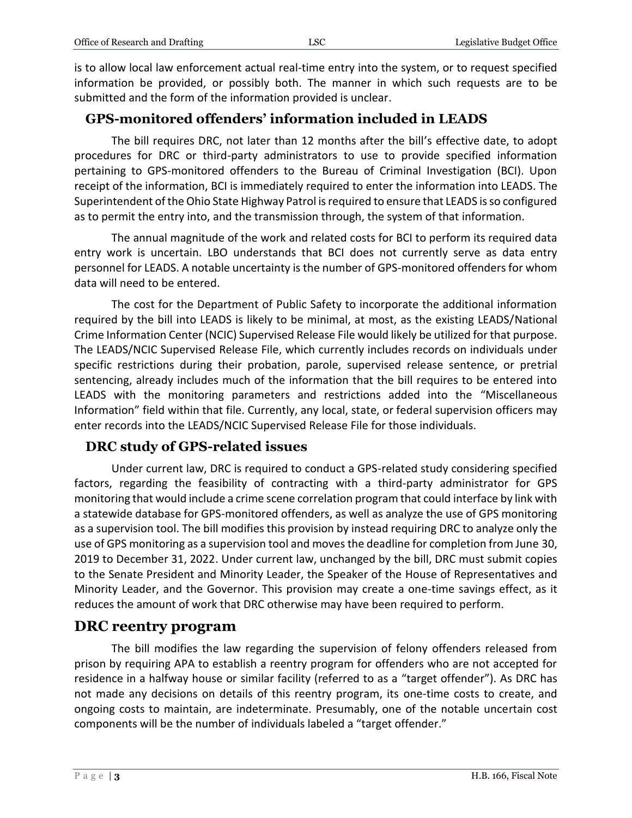is to allow local law enforcement actual real-time entry into the system, or to request specified information be provided, or possibly both. The manner in which such requests are to be submitted and the form of the information provided is unclear.

#### **GPS-monitored offenders' information included in LEADS**

The bill requires DRC, not later than 12 months after the bill's effective date, to adopt procedures for DRC or third-party administrators to use to provide specified information pertaining to GPS-monitored offenders to the Bureau of Criminal Investigation (BCI). Upon receipt of the information, BCI is immediately required to enter the information into LEADS. The Superintendent of the Ohio State Highway Patrol is required to ensure that LEADS is so configured as to permit the entry into, and the transmission through, the system of that information.

The annual magnitude of the work and related costs for BCI to perform its required data entry work is uncertain. LBO understands that BCI does not currently serve as data entry personnel for LEADS. A notable uncertainty is the number of GPS-monitored offenders for whom data will need to be entered.

The cost for the Department of Public Safety to incorporate the additional information required by the bill into LEADS is likely to be minimal, at most, as the existing LEADS/National Crime Information Center (NCIC) Supervised Release File would likely be utilized for that purpose. The LEADS/NCIC Supervised Release File, which currently includes records on individuals under specific restrictions during their probation, parole, supervised release sentence, or pretrial sentencing, already includes much of the information that the bill requires to be entered into LEADS with the monitoring parameters and restrictions added into the "Miscellaneous Information" field within that file. Currently, any local, state, or federal supervision officers may enter records into the LEADS/NCIC Supervised Release File for those individuals.

#### **DRC study of GPS-related issues**

Under current law, DRC is required to conduct a GPS-related study considering specified factors, regarding the feasibility of contracting with a third-party administrator for GPS monitoring that would include a crime scene correlation program that could interface by link with a statewide database for GPS-monitored offenders, as well as analyze the use of GPS monitoring as a supervision tool. The bill modifies this provision by instead requiring DRC to analyze only the use of GPS monitoring as a supervision tool and moves the deadline for completion from June 30, 2019 to December 31, 2022. Under current law, unchanged by the bill, DRC must submit copies to the Senate President and Minority Leader, the Speaker of the House of Representatives and Minority Leader, and the Governor. This provision may create a one-time savings effect, as it reduces the amount of work that DRC otherwise may have been required to perform.

#### **DRC reentry program**

The bill modifies the law regarding the supervision of felony offenders released from prison by requiring APA to establish a reentry program for offenders who are not accepted for residence in a halfway house or similar facility (referred to as a "target offender"). As DRC has not made any decisions on details of this reentry program, its one-time costs to create, and ongoing costs to maintain, are indeterminate. Presumably, one of the notable uncertain cost components will be the number of individuals labeled a "target offender."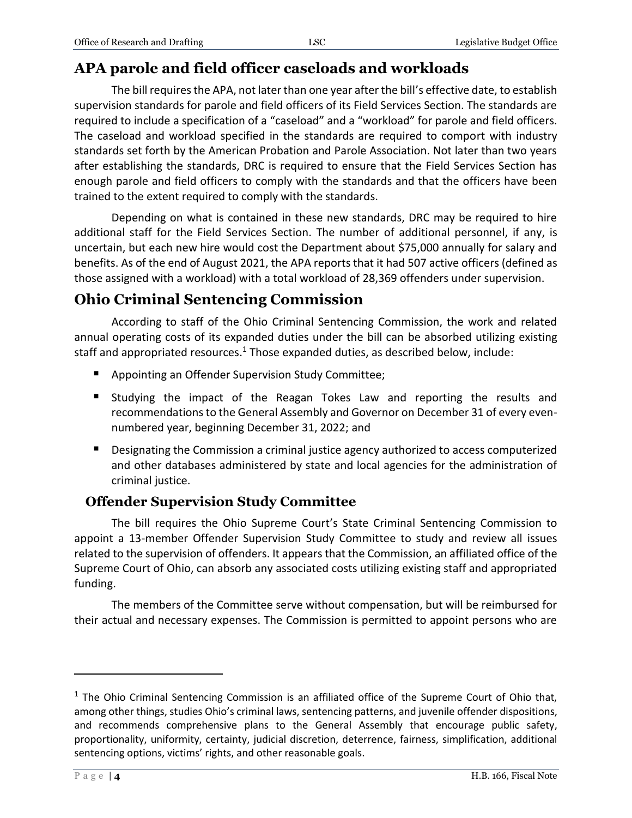### **APA parole and field officer caseloads and workloads**

The bill requires the APA, not later than one year after the bill's effective date, to establish supervision standards for parole and field officers of its Field Services Section. The standards are required to include a specification of a "caseload" and a "workload" for parole and field officers. The caseload and workload specified in the standards are required to comport with industry standards set forth by the American Probation and Parole Association. Not later than two years after establishing the standards, DRC is required to ensure that the Field Services Section has enough parole and field officers to comply with the standards and that the officers have been trained to the extent required to comply with the standards.

Depending on what is contained in these new standards, DRC may be required to hire additional staff for the Field Services Section. The number of additional personnel, if any, is uncertain, but each new hire would cost the Department about \$75,000 annually for salary and benefits. As of the end of August 2021, the APA reports that it had 507 active officers (defined as those assigned with a workload) with a total workload of 28,369 offenders under supervision.

## **Ohio Criminal Sentencing Commission**

According to staff of the Ohio Criminal Sentencing Commission, the work and related annual operating costs of its expanded duties under the bill can be absorbed utilizing existing staff and appropriated resources. <sup>1</sup> Those expanded duties, as described below, include:

- **Appointing an Offender Supervision Study Committee;**
- **Studying the impact of the Reagan Tokes Law and reporting the results and** recommendations to the General Assembly and Governor on December 31 of every evennumbered year, beginning December 31, 2022; and
- **Designating the Commission a criminal justice agency authorized to access computerized** and other databases administered by state and local agencies for the administration of criminal justice.

#### **Offender Supervision Study Committee**

The bill requires the Ohio Supreme Court's State Criminal Sentencing Commission to appoint a 13-member Offender Supervision Study Committee to study and review all issues related to the supervision of offenders. It appears that the Commission, an affiliated office of the Supreme Court of Ohio, can absorb any associated costs utilizing existing staff and appropriated funding.

The members of the Committee serve without compensation, but will be reimbursed for their actual and necessary expenses. The Commission is permitted to appoint persons who are

 $\overline{a}$ 

 $1$  The Ohio Criminal Sentencing Commission is an affiliated office of the Supreme Court of Ohio that, among other things, studies Ohio's criminal laws, sentencing patterns, and juvenile offender dispositions, and recommends comprehensive plans to the General Assembly that encourage public safety, proportionality, uniformity, certainty, judicial discretion, deterrence, fairness, simplification, additional sentencing options, victims' rights, and other reasonable goals.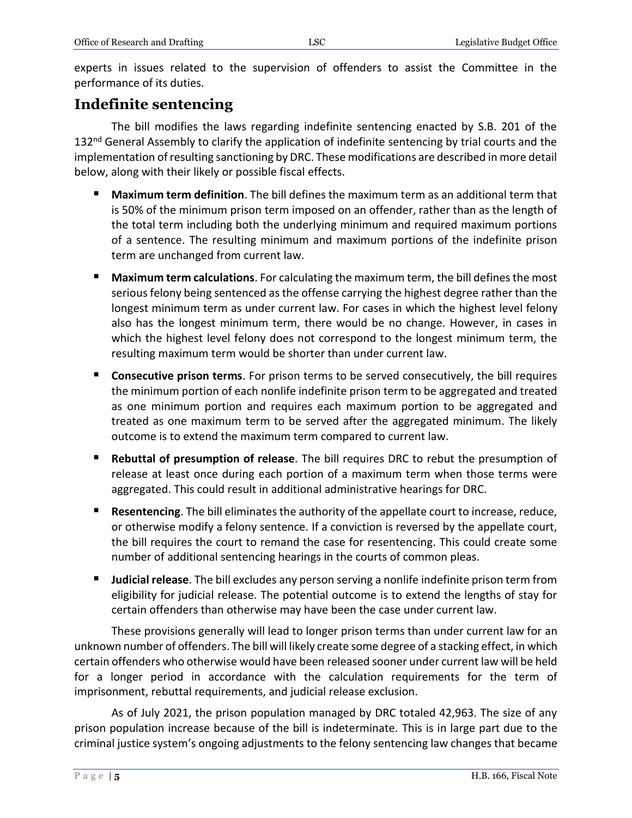experts in issues related to the supervision of offenders to assist the Committee in the performance of its duties.

### **Indefinite sentencing**

The bill modifies the laws regarding indefinite sentencing enacted by S.B. 201 of the 132<sup>nd</sup> General Assembly to clarify the application of indefinite sentencing by trial courts and the implementation of resulting sanctioning by DRC. These modifications are described in more detail below, along with their likely or possible fiscal effects.

- **Maximum term definition**. The bill defines the maximum term as an additional term that is 50% of the minimum prison term imposed on an offender, rather than as the length of the total term including both the underlying minimum and required maximum portions of a sentence. The resulting minimum and maximum portions of the indefinite prison term are unchanged from current law.
- **Maximum term calculations**. For calculating the maximum term, the bill defines the most serious felony being sentenced as the offense carrying the highest degree rather than the longest minimum term as under current law. For cases in which the highest level felony also has the longest minimum term, there would be no change. However, in cases in which the highest level felony does not correspond to the longest minimum term, the resulting maximum term would be shorter than under current law.
- **Consecutive prison terms**. For prison terms to be served consecutively, the bill requires the minimum portion of each nonlife indefinite prison term to be aggregated and treated as one minimum portion and requires each maximum portion to be aggregated and treated as one maximum term to be served after the aggregated minimum. The likely outcome is to extend the maximum term compared to current law.
- **Rebuttal of presumption of release**. The bill requires DRC to rebut the presumption of release at least once during each portion of a maximum term when those terms were aggregated. This could result in additional administrative hearings for DRC.
- **Resentencing**. The bill eliminates the authority of the appellate court to increase, reduce, or otherwise modify a felony sentence. If a conviction is reversed by the appellate court, the bill requires the court to remand the case for resentencing. This could create some number of additional sentencing hearings in the courts of common pleas.
- **Judicial release**. The bill excludes any person serving a nonlife indefinite prison term from eligibility for judicial release. The potential outcome is to extend the lengths of stay for certain offenders than otherwise may have been the case under current law.

These provisions generally will lead to longer prison terms than under current law for an unknown number of offenders. The bill will likely create some degree of a stacking effect, in which certain offenders who otherwise would have been released sooner under current law will be held for a longer period in accordance with the calculation requirements for the term of imprisonment, rebuttal requirements, and judicial release exclusion.

As of July 2021, the prison population managed by DRC totaled 42,963. The size of any prison population increase because of the bill is indeterminate. This is in large part due to the criminal justice system's ongoing adjustments to the felony sentencing law changes that became